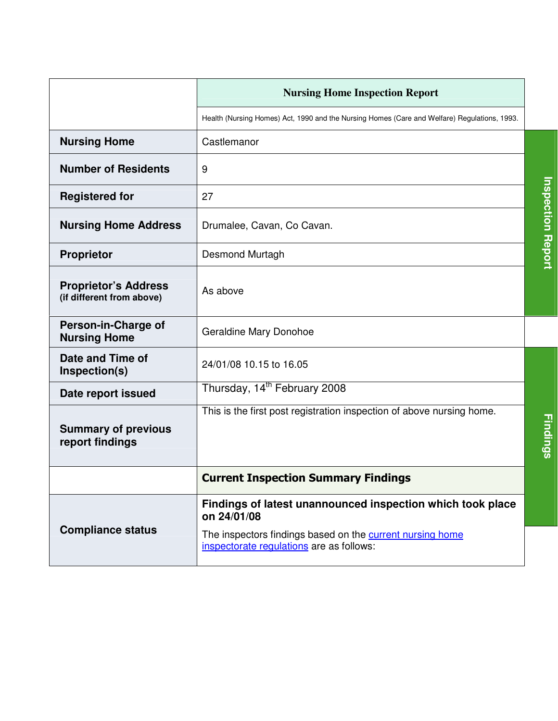|                                                          | <b>Nursing Home Inspection Report</b>                                                                 |  |
|----------------------------------------------------------|-------------------------------------------------------------------------------------------------------|--|
|                                                          | Health (Nursing Homes) Act, 1990 and the Nursing Homes (Care and Welfare) Regulations, 1993.          |  |
| <b>Nursing Home</b>                                      | Castlemanor                                                                                           |  |
| <b>Number of Residents</b>                               | 9                                                                                                     |  |
| <b>Registered for</b>                                    | 27                                                                                                    |  |
| <b>Nursing Home Address</b>                              | Drumalee, Cavan, Co Cavan.                                                                            |  |
| <b>Proprietor</b>                                        | Desmond Murtagh                                                                                       |  |
| <b>Proprietor's Address</b><br>(if different from above) | As above                                                                                              |  |
| Person-in-Charge of<br><b>Nursing Home</b>               | Geraldine Mary Donohoe                                                                                |  |
| Date and Time of<br>Inspection(s)                        | 24/01/08 10.15 to 16.05                                                                               |  |
| Date report issued                                       | Thursday, 14 <sup>th</sup> February 2008                                                              |  |
| <b>Summary of previous</b><br>report findings            | This is the first post registration inspection of above nursing home.                                 |  |
|                                                          | <b>Current Inspection Summary Findings</b>                                                            |  |
|                                                          | Findings of latest unannounced inspection which took place<br>on 24/01/08                             |  |
| <b>Compliance status</b>                                 | The inspectors findings based on the current nursing home<br>inspectorate regulations are as follows: |  |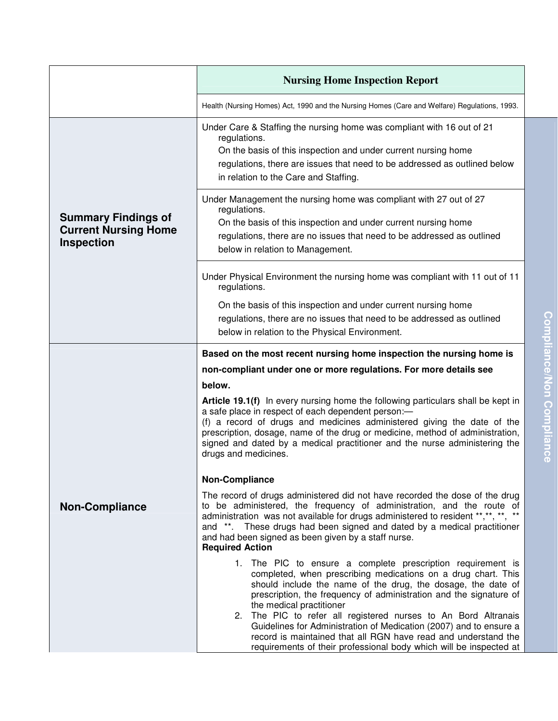|                                                                                | <b>Nursing Home Inspection Report</b>                                                                                                                                                                                                                                                                                                                                                                                                                                                                                                                                          |
|--------------------------------------------------------------------------------|--------------------------------------------------------------------------------------------------------------------------------------------------------------------------------------------------------------------------------------------------------------------------------------------------------------------------------------------------------------------------------------------------------------------------------------------------------------------------------------------------------------------------------------------------------------------------------|
|                                                                                | Health (Nursing Homes) Act, 1990 and the Nursing Homes (Care and Welfare) Regulations, 1993.                                                                                                                                                                                                                                                                                                                                                                                                                                                                                   |
| <b>Summary Findings of</b><br><b>Current Nursing Home</b><br><b>Inspection</b> | Under Care & Staffing the nursing home was compliant with 16 out of 21<br>regulations.<br>On the basis of this inspection and under current nursing home<br>regulations, there are issues that need to be addressed as outlined below<br>in relation to the Care and Staffing.                                                                                                                                                                                                                                                                                                 |
|                                                                                | Under Management the nursing home was compliant with 27 out of 27<br>regulations.<br>On the basis of this inspection and under current nursing home<br>regulations, there are no issues that need to be addressed as outlined<br>below in relation to Management.                                                                                                                                                                                                                                                                                                              |
|                                                                                | Under Physical Environment the nursing home was compliant with 11 out of 11<br>regulations.                                                                                                                                                                                                                                                                                                                                                                                                                                                                                    |
|                                                                                | On the basis of this inspection and under current nursing home<br>regulations, there are no issues that need to be addressed as outlined<br>below in relation to the Physical Environment.                                                                                                                                                                                                                                                                                                                                                                                     |
|                                                                                | Based on the most recent nursing home inspection the nursing home is                                                                                                                                                                                                                                                                                                                                                                                                                                                                                                           |
|                                                                                | non-compliant under one or more regulations. For more details see                                                                                                                                                                                                                                                                                                                                                                                                                                                                                                              |
|                                                                                | below.<br>Article 19.1(f) In every nursing home the following particulars shall be kept in<br>a safe place in respect of each dependent person:-<br>(f) a record of drugs and medicines administered giving the date of the<br>prescription, dosage, name of the drug or medicine, method of administration,<br>signed and dated by a medical practitioner and the nurse administering the<br>drugs and medicines.                                                                                                                                                             |
|                                                                                | <b>Non-Compliance</b>                                                                                                                                                                                                                                                                                                                                                                                                                                                                                                                                                          |
| <b>Non-Compliance</b>                                                          | The record of drugs administered did not have recorded the dose of the drug<br>to be administered, the frequency of administration, and the route of<br>administration was not available for drugs administered to resident **,**, **, **<br>and **. These drugs had been signed and dated by a medical practitioner<br>and had been signed as been given by a staff nurse.<br><b>Required Action</b>                                                                                                                                                                          |
|                                                                                | 1. The PIC to ensure a complete prescription requirement is<br>completed, when prescribing medications on a drug chart. This<br>should include the name of the drug, the dosage, the date of<br>prescription, the frequency of administration and the signature of<br>the medical practitioner<br>2. The PIC to refer all registered nurses to An Bord Altranais<br>Guidelines for Administration of Medication (2007) and to ensure a<br>record is maintained that all RGN have read and understand the<br>requirements of their professional body which will be inspected at |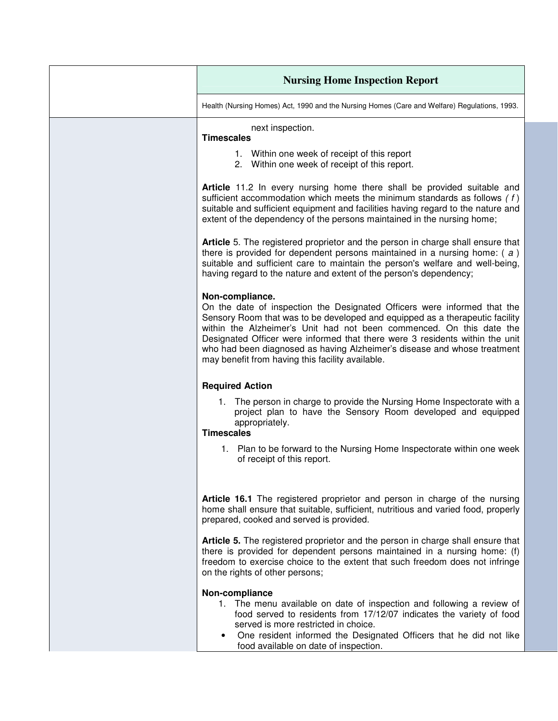| <b>Nursing Home Inspection Report</b>                                                                                                                                                                                                                                                                                                                                                                                                                               |
|---------------------------------------------------------------------------------------------------------------------------------------------------------------------------------------------------------------------------------------------------------------------------------------------------------------------------------------------------------------------------------------------------------------------------------------------------------------------|
| Health (Nursing Homes) Act, 1990 and the Nursing Homes (Care and Welfare) Regulations, 1993.                                                                                                                                                                                                                                                                                                                                                                        |
| next inspection.<br><b>Timescales</b><br>1. Within one week of receipt of this report                                                                                                                                                                                                                                                                                                                                                                               |
| 2. Within one week of receipt of this report.<br>Article 11.2 In every nursing home there shall be provided suitable and<br>sufficient accommodation which meets the minimum standards as follows $(f)$<br>suitable and sufficient equipment and facilities having regard to the nature and<br>extent of the dependency of the persons maintained in the nursing home;                                                                                              |
| Article 5. The registered proprietor and the person in charge shall ensure that<br>there is provided for dependent persons maintained in a nursing home: $(a)$<br>suitable and sufficient care to maintain the person's welfare and well-being,<br>having regard to the nature and extent of the person's dependency;                                                                                                                                               |
| Non-compliance.<br>On the date of inspection the Designated Officers were informed that the<br>Sensory Room that was to be developed and equipped as a therapeutic facility<br>within the Alzheimer's Unit had not been commenced. On this date the<br>Designated Officer were informed that there were 3 residents within the unit<br>who had been diagnosed as having Alzheimer's disease and whose treatment<br>may benefit from having this facility available. |
| <b>Required Action</b>                                                                                                                                                                                                                                                                                                                                                                                                                                              |
| 1. The person in charge to provide the Nursing Home Inspectorate with a<br>project plan to have the Sensory Room developed and equipped<br>appropriately.<br><b>Timescales</b>                                                                                                                                                                                                                                                                                      |
| 1. Plan to be forward to the Nursing Home Inspectorate within one week<br>of receipt of this report.                                                                                                                                                                                                                                                                                                                                                                |
| Article 16.1 The registered proprietor and person in charge of the nursing<br>home shall ensure that suitable, sufficient, nutritious and varied food, properly<br>prepared, cooked and served is provided.                                                                                                                                                                                                                                                         |
| <b>Article 5.</b> The registered proprietor and the person in charge shall ensure that<br>there is provided for dependent persons maintained in a nursing home: (f)<br>freedom to exercise choice to the extent that such freedom does not infringe<br>on the rights of other persons;                                                                                                                                                                              |
| Non-compliance<br>1. The menu available on date of inspection and following a review of<br>food served to residents from 17/12/07 indicates the variety of food<br>served is more restricted in choice.<br>One resident informed the Designated Officers that he did not like<br>$\bullet$<br>food available on date of inspection.                                                                                                                                 |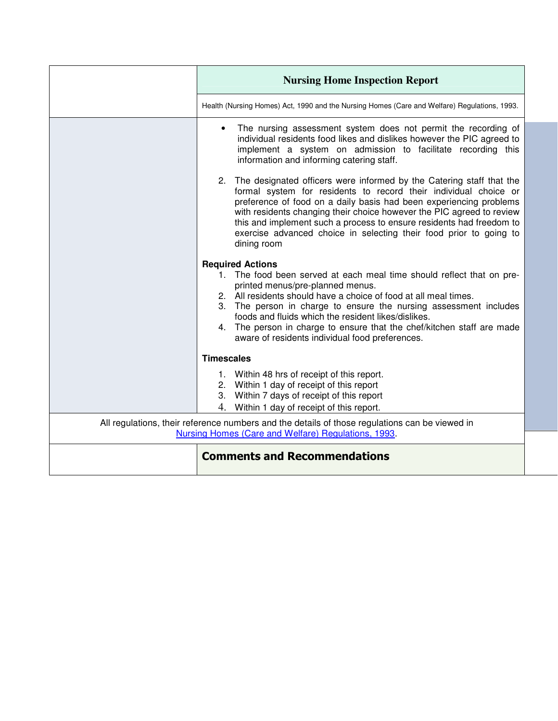| <b>Nursing Home Inspection Report</b>                                                                                                                                                                                                                                                                                                                                                                                                                             |
|-------------------------------------------------------------------------------------------------------------------------------------------------------------------------------------------------------------------------------------------------------------------------------------------------------------------------------------------------------------------------------------------------------------------------------------------------------------------|
| Health (Nursing Homes) Act, 1990 and the Nursing Homes (Care and Welfare) Regulations, 1993.                                                                                                                                                                                                                                                                                                                                                                      |
| The nursing assessment system does not permit the recording of<br>individual residents food likes and dislikes however the PIC agreed to<br>implement a system on admission to facilitate recording this<br>information and informing catering staff.<br>2. The designated officers were informed by the Catering staff that the<br>formal system for residents to record their individual choice or                                                              |
| preference of food on a daily basis had been experiencing problems<br>with residents changing their choice however the PIC agreed to review<br>this and implement such a process to ensure residents had freedom to<br>exercise advanced choice in selecting their food prior to going to<br>dining room                                                                                                                                                          |
| <b>Required Actions</b><br>1. The food been served at each meal time should reflect that on pre-<br>printed menus/pre-planned menus.<br>2. All residents should have a choice of food at all meal times.<br>3. The person in charge to ensure the nursing assessment includes<br>foods and fluids which the resident likes/dislikes.<br>4. The person in charge to ensure that the chef/kitchen staff are made<br>aware of residents individual food preferences. |
| <b>Timescales</b>                                                                                                                                                                                                                                                                                                                                                                                                                                                 |
| 1. Within 48 hrs of receipt of this report.<br>2. Within 1 day of receipt of this report<br>3. Within 7 days of receipt of this report<br>4.<br>Within 1 day of receipt of this report.                                                                                                                                                                                                                                                                           |
| All regulations, their reference numbers and the details of those regulations can be viewed in<br>Nursing Homes (Care and Welfare) Regulations, 1993.                                                                                                                                                                                                                                                                                                             |
| <b>Comments and Recommendations</b>                                                                                                                                                                                                                                                                                                                                                                                                                               |